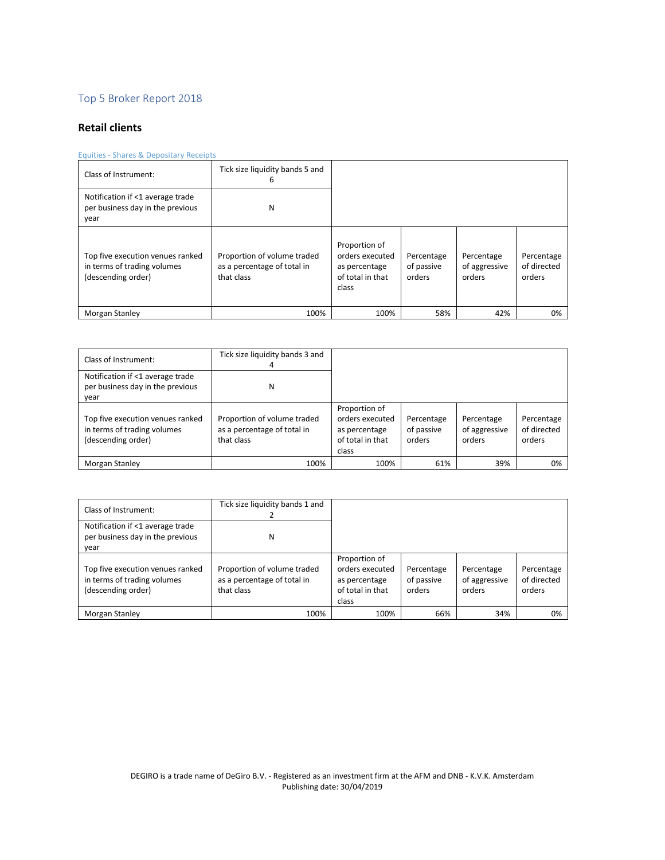# Top 5 Broker Report 2018

## **Retail clients**

### Equities - Shares & Depositary Receipts

| Class of Instrument:                                                                  | Tick size liquidity bands 5 and<br>6                                     |                                                                                |                                    |                                       |                                     |
|---------------------------------------------------------------------------------------|--------------------------------------------------------------------------|--------------------------------------------------------------------------------|------------------------------------|---------------------------------------|-------------------------------------|
| Notification if <1 average trade<br>per business day in the previous<br>year          | N                                                                        |                                                                                |                                    |                                       |                                     |
| Top five execution venues ranked<br>in terms of trading volumes<br>(descending order) | Proportion of volume traded<br>as a percentage of total in<br>that class | Proportion of<br>orders executed<br>as percentage<br>of total in that<br>class | Percentage<br>of passive<br>orders | Percentage<br>of aggressive<br>orders | Percentage<br>of directed<br>orders |
| Morgan Stanley                                                                        | 100%                                                                     | 100%                                                                           | 58%                                | 42%                                   | 0%                                  |

| Class of Instrument:                                                                  | Tick size liquidity bands 3 and<br>4                                     |                                                                                |                                    |                                       |                                     |
|---------------------------------------------------------------------------------------|--------------------------------------------------------------------------|--------------------------------------------------------------------------------|------------------------------------|---------------------------------------|-------------------------------------|
| Notification if <1 average trade<br>per business day in the previous<br>vear          | N                                                                        |                                                                                |                                    |                                       |                                     |
| Top five execution venues ranked<br>in terms of trading volumes<br>(descending order) | Proportion of volume traded<br>as a percentage of total in<br>that class | Proportion of<br>orders executed<br>as percentage<br>of total in that<br>class | Percentage<br>of passive<br>orders | Percentage<br>of aggressive<br>orders | Percentage<br>of directed<br>orders |
| Morgan Stanley                                                                        | 100%                                                                     | 100%                                                                           | 61%                                | 39%                                   | 0%                                  |

| Class of Instrument:                                                                  | Tick size liquidity bands 1 and                                          |                                                                                |                                    |                                       |                                     |
|---------------------------------------------------------------------------------------|--------------------------------------------------------------------------|--------------------------------------------------------------------------------|------------------------------------|---------------------------------------|-------------------------------------|
| Notification if <1 average trade<br>per business day in the previous<br>year          | Ν                                                                        |                                                                                |                                    |                                       |                                     |
| Top five execution venues ranked<br>in terms of trading volumes<br>(descending order) | Proportion of volume traded<br>as a percentage of total in<br>that class | Proportion of<br>orders executed<br>as percentage<br>of total in that<br>class | Percentage<br>of passive<br>orders | Percentage<br>of aggressive<br>orders | Percentage<br>of directed<br>orders |
| Morgan Stanley                                                                        | 100%                                                                     | 100%                                                                           | 66%                                | 34%                                   | 0%                                  |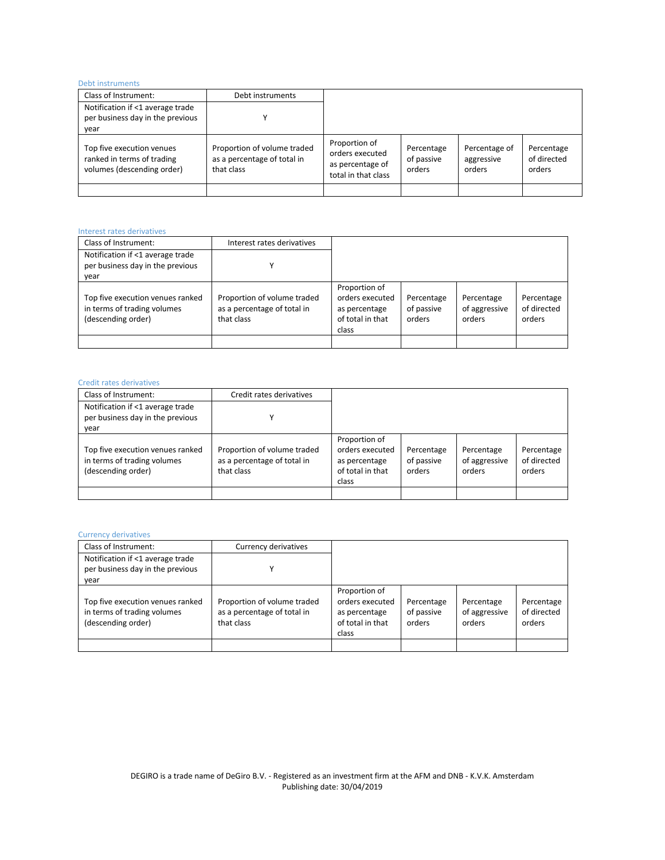### Debt instruments

| <b>DUDLINJUMINU</b> ILJ                                                               |                                                                          |                                                                             |                                    |                                       |                                     |
|---------------------------------------------------------------------------------------|--------------------------------------------------------------------------|-----------------------------------------------------------------------------|------------------------------------|---------------------------------------|-------------------------------------|
| Class of Instrument:                                                                  | Debt instruments                                                         |                                                                             |                                    |                                       |                                     |
| Notification if <1 average trade                                                      |                                                                          |                                                                             |                                    |                                       |                                     |
| per business day in the previous                                                      |                                                                          |                                                                             |                                    |                                       |                                     |
| year                                                                                  |                                                                          |                                                                             |                                    |                                       |                                     |
| Top five execution venues<br>ranked in terms of trading<br>volumes (descending order) | Proportion of volume traded<br>as a percentage of total in<br>that class | Proportion of<br>orders executed<br>as percentage of<br>total in that class | Percentage<br>of passive<br>orders | Percentage of<br>aggressive<br>orders | Percentage<br>of directed<br>orders |
|                                                                                       |                                                                          |                                                                             |                                    |                                       |                                     |

### Interest rates derivatives

| Class of Instrument:                                                                  | Interest rates derivatives                                               |                                                                                |                                    |                                       |                                     |
|---------------------------------------------------------------------------------------|--------------------------------------------------------------------------|--------------------------------------------------------------------------------|------------------------------------|---------------------------------------|-------------------------------------|
| Notification if <1 average trade<br>per business day in the previous<br>year          |                                                                          |                                                                                |                                    |                                       |                                     |
| Top five execution venues ranked<br>in terms of trading volumes<br>(descending order) | Proportion of volume traded<br>as a percentage of total in<br>that class | Proportion of<br>orders executed<br>as percentage<br>of total in that<br>class | Percentage<br>of passive<br>orders | Percentage<br>of aggressive<br>orders | Percentage<br>of directed<br>orders |
|                                                                                       |                                                                          |                                                                                |                                    |                                       |                                     |

### Credit rates derivatives

| Class of Instrument:                                                                  | Credit rates derivatives                                                 |                                                                                |                                    |                                       |                                     |
|---------------------------------------------------------------------------------------|--------------------------------------------------------------------------|--------------------------------------------------------------------------------|------------------------------------|---------------------------------------|-------------------------------------|
| Notification if <1 average trade<br>per business day in the previous<br>vear          |                                                                          |                                                                                |                                    |                                       |                                     |
| Top five execution venues ranked<br>in terms of trading volumes<br>(descending order) | Proportion of volume traded<br>as a percentage of total in<br>that class | Proportion of<br>orders executed<br>as percentage<br>of total in that<br>class | Percentage<br>of passive<br>orders | Percentage<br>of aggressive<br>orders | Percentage<br>of directed<br>orders |
|                                                                                       |                                                                          |                                                                                |                                    |                                       |                                     |

### Currency derivatives

| Class of Instrument:                                                                  | Currency derivatives                                                     |                                                                                |                                    |                                       |                                     |
|---------------------------------------------------------------------------------------|--------------------------------------------------------------------------|--------------------------------------------------------------------------------|------------------------------------|---------------------------------------|-------------------------------------|
| Notification if <1 average trade<br>per business day in the previous<br>year          |                                                                          |                                                                                |                                    |                                       |                                     |
| Top five execution venues ranked<br>in terms of trading volumes<br>(descending order) | Proportion of volume traded<br>as a percentage of total in<br>that class | Proportion of<br>orders executed<br>as percentage<br>of total in that<br>class | Percentage<br>of passive<br>orders | Percentage<br>of aggressive<br>orders | Percentage<br>of directed<br>orders |
|                                                                                       |                                                                          |                                                                                |                                    |                                       |                                     |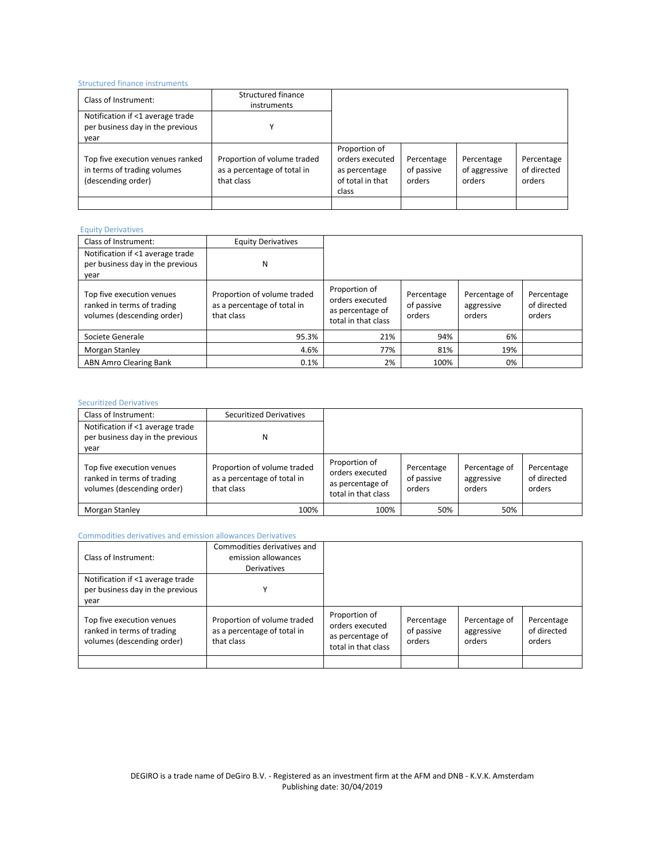### Structured finance instruments

| Class of Instrument:                                                                  | Structured finance<br>instruments                                        |                                                                                |                                    |                                       |                                     |
|---------------------------------------------------------------------------------------|--------------------------------------------------------------------------|--------------------------------------------------------------------------------|------------------------------------|---------------------------------------|-------------------------------------|
| Notification if <1 average trade<br>per business day in the previous<br>year          |                                                                          |                                                                                |                                    |                                       |                                     |
| Top five execution venues ranked<br>in terms of trading volumes<br>(descending order) | Proportion of volume traded<br>as a percentage of total in<br>that class | Proportion of<br>orders executed<br>as percentage<br>of total in that<br>class | Percentage<br>of passive<br>orders | Percentage<br>of aggressive<br>orders | Percentage<br>of directed<br>orders |
|                                                                                       |                                                                          |                                                                                |                                    |                                       |                                     |

### Equity Derivatives

| Class of Instrument:                                                                  | <b>Equity Derivatives</b>                                                |                                                                             |                                    |                                       |                                     |
|---------------------------------------------------------------------------------------|--------------------------------------------------------------------------|-----------------------------------------------------------------------------|------------------------------------|---------------------------------------|-------------------------------------|
| Notification if <1 average trade<br>per business day in the previous<br>year          | N                                                                        |                                                                             |                                    |                                       |                                     |
| Top five execution venues<br>ranked in terms of trading<br>volumes (descending order) | Proportion of volume traded<br>as a percentage of total in<br>that class | Proportion of<br>orders executed<br>as percentage of<br>total in that class | Percentage<br>of passive<br>orders | Percentage of<br>aggressive<br>orders | Percentage<br>of directed<br>orders |
| Societe Generale                                                                      | 95.3%                                                                    | 21%                                                                         | 94%                                | 6%                                    |                                     |
| Morgan Stanley                                                                        | 4.6%                                                                     | 77%                                                                         | 81%                                | 19%                                   |                                     |
| ABN Amro Clearing Bank                                                                | 0.1%                                                                     | 2%                                                                          | 100%                               | 0%                                    |                                     |

### Securitized Derivatives

| Class of Instrument:                                                                  | <b>Securitized Derivatives</b>                                           |                                                                             |                                    |                                       |                                     |
|---------------------------------------------------------------------------------------|--------------------------------------------------------------------------|-----------------------------------------------------------------------------|------------------------------------|---------------------------------------|-------------------------------------|
| Notification if <1 average trade<br>per business day in the previous<br>year          | Ν                                                                        |                                                                             |                                    |                                       |                                     |
| Top five execution venues<br>ranked in terms of trading<br>volumes (descending order) | Proportion of volume traded<br>as a percentage of total in<br>that class | Proportion of<br>orders executed<br>as percentage of<br>total in that class | Percentage<br>of passive<br>orders | Percentage of<br>aggressive<br>orders | Percentage<br>of directed<br>orders |
| Morgan Stanley                                                                        | 100%                                                                     | 100%                                                                        | 50%                                | 50%                                   |                                     |

### Commodities derivatives and emission allowances Derivatives

| Class of Instrument:                                                                  | Commodities derivatives and<br>emission allowances<br><b>Derivatives</b> |                                                                             |                                    |                                       |                                     |
|---------------------------------------------------------------------------------------|--------------------------------------------------------------------------|-----------------------------------------------------------------------------|------------------------------------|---------------------------------------|-------------------------------------|
| Notification if <1 average trade<br>per business day in the previous<br>year          |                                                                          |                                                                             |                                    |                                       |                                     |
| Top five execution venues<br>ranked in terms of trading<br>volumes (descending order) | Proportion of volume traded<br>as a percentage of total in<br>that class | Proportion of<br>orders executed<br>as percentage of<br>total in that class | Percentage<br>of passive<br>orders | Percentage of<br>aggressive<br>orders | Percentage<br>of directed<br>orders |
|                                                                                       |                                                                          |                                                                             |                                    |                                       |                                     |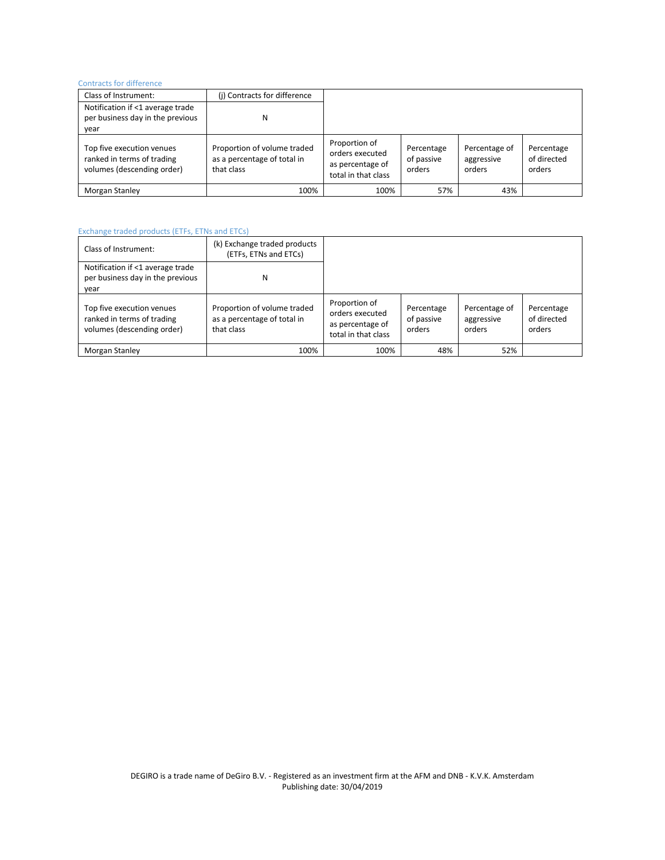### Contracts for difference

| COTTUBUCO TOT UNITCICITUD                                                             |                                                                          |                                                                             |                                    |                                       |                                     |
|---------------------------------------------------------------------------------------|--------------------------------------------------------------------------|-----------------------------------------------------------------------------|------------------------------------|---------------------------------------|-------------------------------------|
| Class of Instrument:                                                                  | (i) Contracts for difference                                             |                                                                             |                                    |                                       |                                     |
| Notification if <1 average trade                                                      |                                                                          |                                                                             |                                    |                                       |                                     |
| per business day in the previous                                                      | N                                                                        |                                                                             |                                    |                                       |                                     |
| year                                                                                  |                                                                          |                                                                             |                                    |                                       |                                     |
| Top five execution venues<br>ranked in terms of trading<br>volumes (descending order) | Proportion of volume traded<br>as a percentage of total in<br>that class | Proportion of<br>orders executed<br>as percentage of<br>total in that class | Percentage<br>of passive<br>orders | Percentage of<br>aggressive<br>orders | Percentage<br>of directed<br>orders |
| Morgan Stanley                                                                        | 100%                                                                     | 100%                                                                        | 57%                                | 43%                                   |                                     |

## Exchange traded products (ETFs, ETNs and ETCs)

| Class of Instrument:                                                                  | (k) Exchange traded products<br>(ETFs, ETNs and ETCs)                    |                                                                             |                                    |                                       |                                     |
|---------------------------------------------------------------------------------------|--------------------------------------------------------------------------|-----------------------------------------------------------------------------|------------------------------------|---------------------------------------|-------------------------------------|
| Notification if <1 average trade<br>per business day in the previous<br>year          | N                                                                        |                                                                             |                                    |                                       |                                     |
| Top five execution venues<br>ranked in terms of trading<br>volumes (descending order) | Proportion of volume traded<br>as a percentage of total in<br>that class | Proportion of<br>orders executed<br>as percentage of<br>total in that class | Percentage<br>of passive<br>orders | Percentage of<br>aggressive<br>orders | Percentage<br>of directed<br>orders |
| Morgan Stanley                                                                        | 100%                                                                     | 100%                                                                        | 48%                                | 52%                                   |                                     |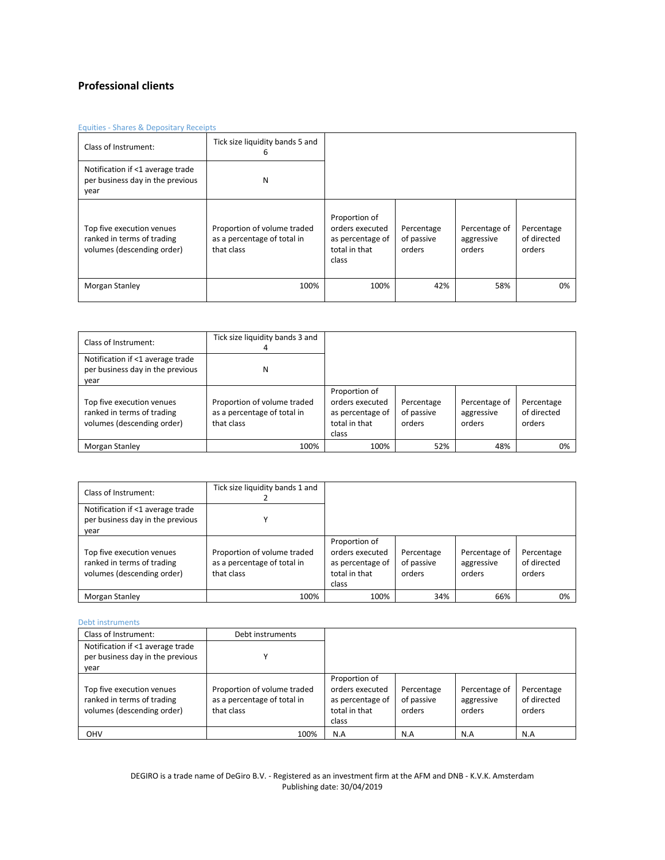## **Professional clients**

### Equities - Shares & Depositary Receipts

| Class of Instrument:                                                                  | Tick size liquidity bands 5 and<br>6                                     |                                                                                |                                    |                                       |                                     |
|---------------------------------------------------------------------------------------|--------------------------------------------------------------------------|--------------------------------------------------------------------------------|------------------------------------|---------------------------------------|-------------------------------------|
| Notification if <1 average trade<br>per business day in the previous<br>year          | N                                                                        |                                                                                |                                    |                                       |                                     |
| Top five execution venues<br>ranked in terms of trading<br>volumes (descending order) | Proportion of volume traded<br>as a percentage of total in<br>that class | Proportion of<br>orders executed<br>as percentage of<br>total in that<br>class | Percentage<br>of passive<br>orders | Percentage of<br>aggressive<br>orders | Percentage<br>of directed<br>orders |
| Morgan Stanley                                                                        | 100%                                                                     | 100%                                                                           | 42%                                | 58%                                   | 0%                                  |

| Class of Instrument:                                                                  | Tick size liquidity bands 3 and<br>4                                     |                                                                                |                                    |                                       |                                     |
|---------------------------------------------------------------------------------------|--------------------------------------------------------------------------|--------------------------------------------------------------------------------|------------------------------------|---------------------------------------|-------------------------------------|
| Notification if <1 average trade<br>per business day in the previous<br>year          | Ν                                                                        |                                                                                |                                    |                                       |                                     |
| Top five execution venues<br>ranked in terms of trading<br>volumes (descending order) | Proportion of volume traded<br>as a percentage of total in<br>that class | Proportion of<br>orders executed<br>as percentage of<br>total in that<br>class | Percentage<br>of passive<br>orders | Percentage of<br>aggressive<br>orders | Percentage<br>of directed<br>orders |
| Morgan Stanley                                                                        | 100%                                                                     | 100%                                                                           | 52%                                | 48%                                   | 0%                                  |

| Class of Instrument:                                                                  | Tick size liquidity bands 1 and                                          |                                                                                |                                    |                                       |                                     |
|---------------------------------------------------------------------------------------|--------------------------------------------------------------------------|--------------------------------------------------------------------------------|------------------------------------|---------------------------------------|-------------------------------------|
| Notification if <1 average trade                                                      |                                                                          |                                                                                |                                    |                                       |                                     |
| per business day in the previous                                                      |                                                                          |                                                                                |                                    |                                       |                                     |
| year                                                                                  |                                                                          |                                                                                |                                    |                                       |                                     |
| Top five execution venues<br>ranked in terms of trading<br>volumes (descending order) | Proportion of volume traded<br>as a percentage of total in<br>that class | Proportion of<br>orders executed<br>as percentage of<br>total in that<br>class | Percentage<br>of passive<br>orders | Percentage of<br>aggressive<br>orders | Percentage<br>of directed<br>orders |
| Morgan Stanley                                                                        | 100%                                                                     | 100%                                                                           | 34%                                | 66%                                   | 0%                                  |

### Debt instruments

| Class of Instrument:                                                                  | Debt instruments                                                         |                                                                                |                                    |                                       |                                     |
|---------------------------------------------------------------------------------------|--------------------------------------------------------------------------|--------------------------------------------------------------------------------|------------------------------------|---------------------------------------|-------------------------------------|
| Notification if <1 average trade<br>per business day in the previous<br>year          |                                                                          |                                                                                |                                    |                                       |                                     |
| Top five execution venues<br>ranked in terms of trading<br>volumes (descending order) | Proportion of volume traded<br>as a percentage of total in<br>that class | Proportion of<br>orders executed<br>as percentage of<br>total in that<br>class | Percentage<br>of passive<br>orders | Percentage of<br>aggressive<br>orders | Percentage<br>of directed<br>orders |
| <b>OHV</b>                                                                            | 100%                                                                     | N.A                                                                            | N.A                                | N.A                                   | N.A                                 |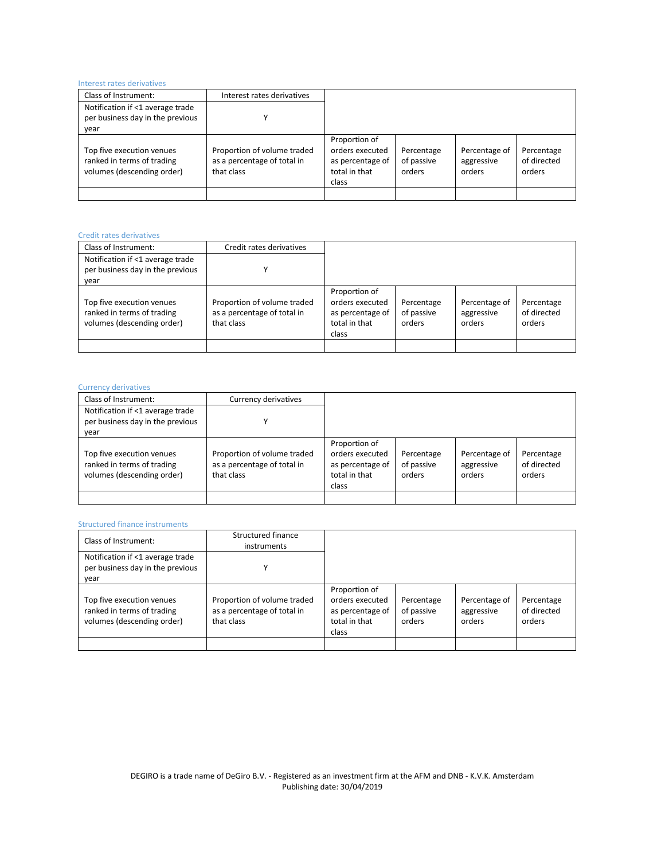### Interest rates derivatives

| Class of Instrument:                                                                  | Interest rates derivatives                                               |                                                                                |                                    |                                       |                                     |
|---------------------------------------------------------------------------------------|--------------------------------------------------------------------------|--------------------------------------------------------------------------------|------------------------------------|---------------------------------------|-------------------------------------|
| Notification if <1 average trade                                                      |                                                                          |                                                                                |                                    |                                       |                                     |
| per business day in the previous                                                      | v                                                                        |                                                                                |                                    |                                       |                                     |
| year                                                                                  |                                                                          |                                                                                |                                    |                                       |                                     |
| Top five execution venues<br>ranked in terms of trading<br>volumes (descending order) | Proportion of volume traded<br>as a percentage of total in<br>that class | Proportion of<br>orders executed<br>as percentage of<br>total in that<br>class | Percentage<br>of passive<br>orders | Percentage of<br>aggressive<br>orders | Percentage<br>of directed<br>orders |
|                                                                                       |                                                                          |                                                                                |                                    |                                       |                                     |

| Credit rates derivatives                                                              |                                                                          |                                                                                |                                    |                                       |                                     |
|---------------------------------------------------------------------------------------|--------------------------------------------------------------------------|--------------------------------------------------------------------------------|------------------------------------|---------------------------------------|-------------------------------------|
| Class of Instrument:                                                                  | Credit rates derivatives                                                 |                                                                                |                                    |                                       |                                     |
| Notification if <1 average trade<br>per business day in the previous                  | v                                                                        |                                                                                |                                    |                                       |                                     |
| year                                                                                  |                                                                          |                                                                                |                                    |                                       |                                     |
| Top five execution venues<br>ranked in terms of trading<br>volumes (descending order) | Proportion of volume traded<br>as a percentage of total in<br>that class | Proportion of<br>orders executed<br>as percentage of<br>total in that<br>class | Percentage<br>of passive<br>orders | Percentage of<br>aggressive<br>orders | Percentage<br>of directed<br>orders |
|                                                                                       |                                                                          |                                                                                |                                    |                                       |                                     |

### Currency derivatives

| Class of Instrument:                                                                  | Currency derivatives                                                     |                                                                                |                                    |                                       |                                     |
|---------------------------------------------------------------------------------------|--------------------------------------------------------------------------|--------------------------------------------------------------------------------|------------------------------------|---------------------------------------|-------------------------------------|
| Notification if <1 average trade<br>per business day in the previous<br>year          |                                                                          |                                                                                |                                    |                                       |                                     |
| Top five execution venues<br>ranked in terms of trading<br>volumes (descending order) | Proportion of volume traded<br>as a percentage of total in<br>that class | Proportion of<br>orders executed<br>as percentage of<br>total in that<br>class | Percentage<br>of passive<br>orders | Percentage of<br>aggressive<br>orders | Percentage<br>of directed<br>orders |
|                                                                                       |                                                                          |                                                                                |                                    |                                       |                                     |

### Structured finance instruments

| Class of Instrument:                                                                  | Structured finance<br>instruments                                        |                                                                                |                                    |                                       |                                     |
|---------------------------------------------------------------------------------------|--------------------------------------------------------------------------|--------------------------------------------------------------------------------|------------------------------------|---------------------------------------|-------------------------------------|
| Notification if <1 average trade<br>per business day in the previous<br>year          | v                                                                        |                                                                                |                                    |                                       |                                     |
| Top five execution venues<br>ranked in terms of trading<br>volumes (descending order) | Proportion of volume traded<br>as a percentage of total in<br>that class | Proportion of<br>orders executed<br>as percentage of<br>total in that<br>class | Percentage<br>of passive<br>orders | Percentage of<br>aggressive<br>orders | Percentage<br>of directed<br>orders |
|                                                                                       |                                                                          |                                                                                |                                    |                                       |                                     |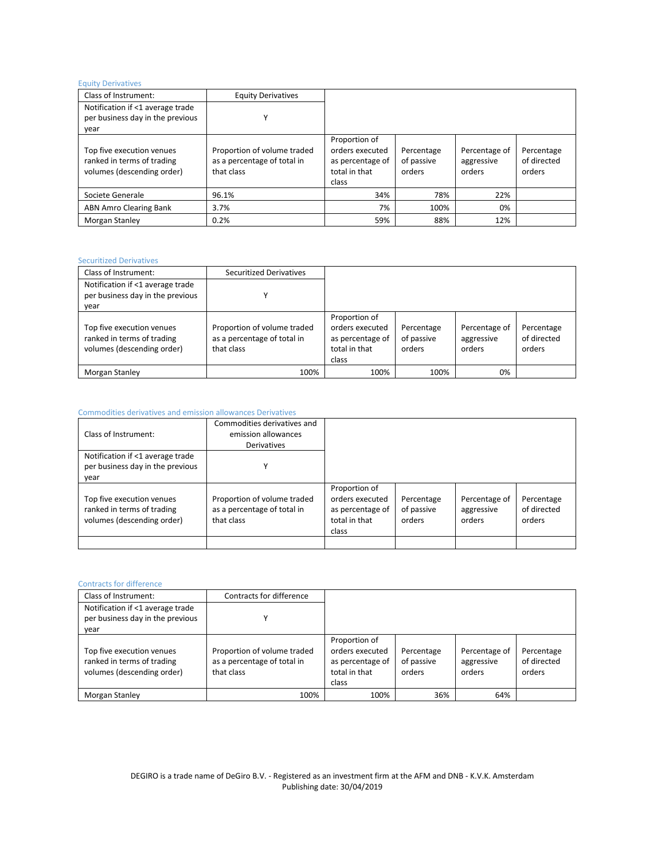### Equity Derivatives

| Class of Instrument:                                                                  | <b>Equity Derivatives</b>                                                |                                                                                |                                    |                                       |                                     |
|---------------------------------------------------------------------------------------|--------------------------------------------------------------------------|--------------------------------------------------------------------------------|------------------------------------|---------------------------------------|-------------------------------------|
| Notification if <1 average trade                                                      |                                                                          |                                                                                |                                    |                                       |                                     |
| per business day in the previous                                                      |                                                                          |                                                                                |                                    |                                       |                                     |
| year                                                                                  |                                                                          |                                                                                |                                    |                                       |                                     |
| Top five execution venues<br>ranked in terms of trading<br>volumes (descending order) | Proportion of volume traded<br>as a percentage of total in<br>that class | Proportion of<br>orders executed<br>as percentage of<br>total in that<br>class | Percentage<br>of passive<br>orders | Percentage of<br>aggressive<br>orders | Percentage<br>of directed<br>orders |
| Societe Generale                                                                      | 96.1%                                                                    | 34%                                                                            | 78%                                | 22%                                   |                                     |
| ABN Amro Clearing Bank                                                                | 3.7%                                                                     | 7%                                                                             | 100%                               | 0%                                    |                                     |
| Morgan Stanley                                                                        | 0.2%                                                                     | 59%                                                                            | 88%                                | 12%                                   |                                     |

### Securitized Derivatives

| Class of Instrument:                                                                  | <b>Securitized Derivatives</b>                                           |                                                                                |                                    |                                       |                                     |
|---------------------------------------------------------------------------------------|--------------------------------------------------------------------------|--------------------------------------------------------------------------------|------------------------------------|---------------------------------------|-------------------------------------|
| Notification if <1 average trade<br>per business day in the previous<br>year          |                                                                          |                                                                                |                                    |                                       |                                     |
| Top five execution venues<br>ranked in terms of trading<br>volumes (descending order) | Proportion of volume traded<br>as a percentage of total in<br>that class | Proportion of<br>orders executed<br>as percentage of<br>total in that<br>class | Percentage<br>of passive<br>orders | Percentage of<br>aggressive<br>orders | Percentage<br>of directed<br>orders |
| Morgan Stanley                                                                        | 100%                                                                     | 100%                                                                           | 100%                               | 0%                                    |                                     |

### Commodities derivatives and emission allowances Derivatives

|                                                                                       | Commodities derivatives and                                              |                                                                                |                                    |                                       |                                     |
|---------------------------------------------------------------------------------------|--------------------------------------------------------------------------|--------------------------------------------------------------------------------|------------------------------------|---------------------------------------|-------------------------------------|
| Class of Instrument:                                                                  | emission allowances                                                      |                                                                                |                                    |                                       |                                     |
|                                                                                       | <b>Derivatives</b>                                                       |                                                                                |                                    |                                       |                                     |
| Notification if <1 average trade                                                      |                                                                          |                                                                                |                                    |                                       |                                     |
| per business day in the previous                                                      | v                                                                        |                                                                                |                                    |                                       |                                     |
| year                                                                                  |                                                                          |                                                                                |                                    |                                       |                                     |
| Top five execution venues<br>ranked in terms of trading<br>volumes (descending order) | Proportion of volume traded<br>as a percentage of total in<br>that class | Proportion of<br>orders executed<br>as percentage of<br>total in that<br>class | Percentage<br>of passive<br>orders | Percentage of<br>aggressive<br>orders | Percentage<br>of directed<br>orders |
|                                                                                       |                                                                          |                                                                                |                                    |                                       |                                     |

### Contracts for difference

| Class of Instrument:                                                                  | Contracts for difference                                                 |                                                                                |                                    |                                       |                                     |
|---------------------------------------------------------------------------------------|--------------------------------------------------------------------------|--------------------------------------------------------------------------------|------------------------------------|---------------------------------------|-------------------------------------|
| Notification if <1 average trade<br>per business day in the previous<br>year          |                                                                          |                                                                                |                                    |                                       |                                     |
| Top five execution venues<br>ranked in terms of trading<br>volumes (descending order) | Proportion of volume traded<br>as a percentage of total in<br>that class | Proportion of<br>orders executed<br>as percentage of<br>total in that<br>class | Percentage<br>of passive<br>orders | Percentage of<br>aggressive<br>orders | Percentage<br>of directed<br>orders |
| Morgan Stanley                                                                        | 100%                                                                     | 100%                                                                           | 36%                                | 64%                                   |                                     |